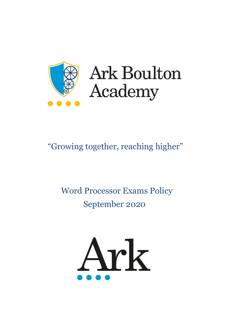

# **Ark Boulton** Academy

# "Growing together, reaching higher"

# Word Processor Exams Policy September 2020

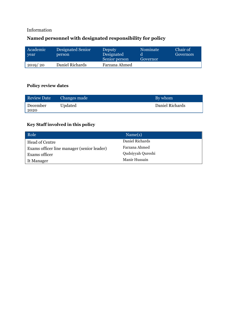# Information

# **Named personnel with designated responsibility for policy**

| Academic<br>vear | Designated Senior<br>person | <b>Deputy</b><br>Designated<br>Senior person | Nominate<br>Governor | Chair of<br>Governors |
|------------------|-----------------------------|----------------------------------------------|----------------------|-----------------------|
| 2019/20          | Daniel Richards             | Farzana Ahmed                                |                      |                       |

#### **Policy review dates**

| <b>Review Date</b> | Changes made | By whom         |
|--------------------|--------------|-----------------|
| December           | Updated      | Daniel Richards |
| 2020               |              |                 |

# **Key Staff involved in this policy**

| Role                                       | Name(s)           |  |
|--------------------------------------------|-------------------|--|
| Head of Centre                             | Daniel Richards   |  |
| Exams officer line manager (senior leader) | Farzana Ahmed     |  |
| Exams officer                              | Qudsiyyah Qureshi |  |
| It Manager                                 | Manir Hussain     |  |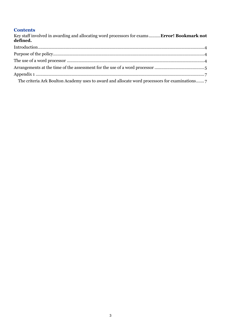#### **Contents**

| Key staff involved in awarding and allocating word processors for exams <b>Error! Bookmark not</b><br>defined. |  |
|----------------------------------------------------------------------------------------------------------------|--|
|                                                                                                                |  |
|                                                                                                                |  |
|                                                                                                                |  |
|                                                                                                                |  |
|                                                                                                                |  |
|                                                                                                                |  |
|                                                                                                                |  |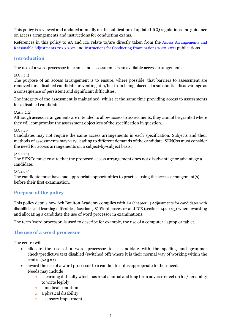This policy is reviewed and updated annually on the publication of updated JCQ regulations and guidance on access arrangements and instructions for conducting exams.

References in this policy to AA and ICE relate to/are directly taken from the Access Arrangements and [Reasonable Adjustments 2020-2021](http://www.jcq.org.uk/exams-office/access-arrangements-and-special-consideration/regulations-and-guidance) and [Instructions for Conducting Examinations 2020-2021](http://www.jcq.org.uk/exams-office/ice---instructions-for-conducting-examinations) publications.

#### <span id="page-3-0"></span>**Introduction**

The use of a word processor in exams and assessments is an available access arrangement.

#### (AA 4.2.1)

The purpose of an access arrangement is to ensure, where possible, that barriers to assessment are removed for a disabled candidate preventing him/her from being placed at a substantial disadvantage as a consequence of persistent and significant difficulties.

The integrity of the assessment is maintained, whilst at the same time providing access to assessments for a disabled candidate.

#### (AA 4.2.2)

Although access arrangements are intended to allow access to assessments, they cannot be granted where they will compromise the assessment objectives of the specification in question.

#### (AA 4.2.3)

Candidates may not require the same access arrangements in each specification. Subjects and their methods of assessments may vary, leading to different demands of the candidate. SENCos must consider the need for access arrangements on a subject-by-subject basis.

#### (AA 4.2.1)

The SENCo must ensure that the proposed access arrangement does not disadvantage or advantage a candidate.

#### (AA 4.2.7)

The candidate must have had appropriate opportunities to practise using the access arrangement(s) before their first examination.

## <span id="page-3-1"></span>**Purpose of the policy**

This policy details how Ark Boulton Academy complies with AA (chapter 4) Adjustments for candidates with disabilities and learning difficulties, (section 5.8) Word processor and ICE (sections 14.20-25) when awarding and allocating a candidate the use of word processor in examinations.

The term 'word processor' is used to describe for example, the use of a computer, laptop or tablet.

## <span id="page-3-2"></span>**The use of a word processor**

The centre will

- allocate the use of a word processor to a candidate with the spelling and grammar check/predictive text disabled (switched off) where it is their normal way of working within the centre (AA 5.8.1)
- award the use of a word processor to a candidate if it is appropriate to their needs Needs may include
	- $\circ$  a learning difficulty which has a substantial and long term adverse effect on his/her ability to write legibly
	- o a medical condition
	- o a physical disability
	- o a sensory impairment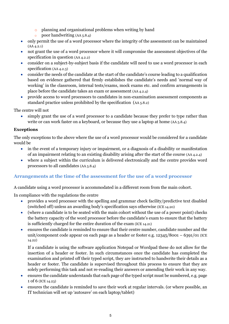- o planning and organisational problems when writing by hand
- poor handwriting  $(AA_5, 8.4)$
- only permit the use of a word processor where the integrity of the assessment can be maintained (AA 4.2.1)
- not grant the use of a word processor where it will compromise the assessment objectives of the specification in question (AA 4.2.2)
- consider on a subject-by-subject basis if the candidate will need to use a word processor in each specification (AA 4.2.3)
- consider the needs of the candidate at the start of the candidate's course leading to a qualification based on evidence gathered that firmly establishes the candidate's needs and 'normal way of working' in the classroom, internal tests/exams, mock exams etc. and confirm arrangements in place before the candidate takes an exam or assessment (AA 4.2.4)
- provide access to word processors to candidates in non-examination assessment components as standard practice unless prohibited by the specification (AA 5.8.2)

The centre will not

• simply grant the use of a word processor to a candidate because they prefer to type rather than write or can work faster on a keyboard, or because they use a laptop at home (AA 5.8.4)

#### **Exceptions**

The only exceptions to the above where the use of a word processor would be considered for a candidate would be

- in the event of a temporary injury or impairment, or a diagnosis of a disability or manifestation of an impairment relating to an existing disability arising after the start of the course (AA 4.2.4)
- where a subject within the curriculum is delivered electronically and the centre provides word processors to all candidates (AA 5.8.4)

## <span id="page-4-0"></span>**Arrangements at the time of the assessment for the use of a word processor**

A candidate using a word processor is accommodated in a different room from the main cohort.

In compliance with the regulations the centre

- provides a word processor with the spelling and grammar check facility/predictive text disabled (switched off) unless an awarding body's specification says otherwise (ICE 14.20)
- (where a candidate is to be seated with the main cohort without the use of a power point) checks the battery capacity of the word processor before the candidate's exam to ensure that the battery is sufficiently charged for the entire duration of the exam (ICE 14.21)
- ensures the candidate is reminded to ensure that their centre number, candidate number and the unit/component code appear on each page as a header or footer e.g.  $12345/8001 - 6391/01$  (ICE 14.22)

If a candidate is using the software application Notepad or Wordpad these do not allow for the insertion of a header or footer. In such circumstances once the candidate has completed the examination and printed off their typed script, they are instructed to handwrite their details as a header or footer. The candidate is supervised throughout this process to ensure that they are solely performing this task and not re-reading their answers or amending their work in any way.

- ensures the candidate understands that each page of the typed script must be numbered, e.g. page 1 of 6 (ICE 14.23)
- ensures the candidate is reminded to save their work at regular intervals. (or where possible, an IT technician will set up 'autosave' on each laptop/tablet)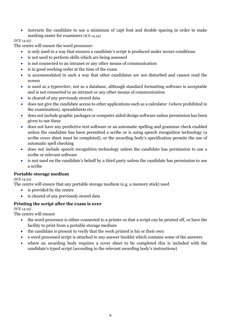• instructs the candidate to use a minimum of 12pt font and double spacing in order to make marking easier for examiners (ICE 14.24)

#### (ICE 14.25)

The centre will ensure the word processor:

- is only used in a way that ensures a candidate's script is produced under secure conditions
- is not used to perform skills which are being assessed
- is not connected to an intranet or any other means of communication
- is in good working order at the time of the exam
- is accommodated in such a way that other candidates are not disturbed and cannot read the screen
- is used as a typewriter, not as a database, although standard formatting software is acceptable and is not connected to an intranet or any other means of communication
- is cleared of any previously stored data
- does not give the candidate access to other applications such as a calculator (where prohibited in the examination), spreadsheets etc.
- does not include graphic packages or computer aided design software unless permission has been given to use these
- does not have any predictive text software or an automatic spelling and grammar check enabled unless the candidate has been permitted a scribe or is using speech recognition technology (a scribe cover sheet must be completed), or the awarding body's specification permits the use of automatic spell checking
- does not include speech recognition technology unless the candidate has permission to use a scribe or relevant software
- is not used on the candidate's behalf by a third party unless the candidate has permission to use a scribe

#### **Portable storage medium**

(ICE 14.25)

The centre will ensure that any portable storage medium (e.g. a memory stick) used

- is provided by the centre
- is cleared of any previously stored data

#### **Printing the script after the exam is over**

(ICE 14.25)

The centre will ensure

- the word processor is either connected to a printer so that a script can be printed off, or have the facility to print from a portable storage medium
- the candidate is present to verify that the work printed is his or their own
- a word processed script is attached to any answer booklet which contains some of the answers
- <span id="page-5-0"></span>• where an awarding body requires a cover sheet to be completed this is included with the candidate's typed script (according to the relevant awarding body's instructions)